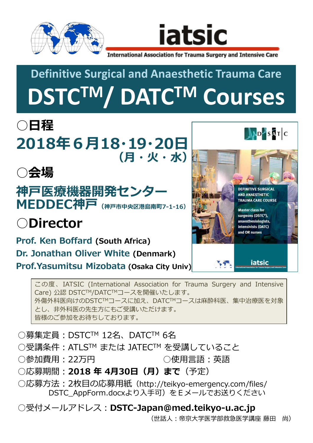



International Association for Trauma Surgery and Intensive Care

## **Definitive Surgical and Anaesthetic Trauma Care DSTC TM/ DATCTM Courses**

○日程 2018年 6 月18・19・20日 (月・火・水)





## ○Director

Prof. Ken Boffard (South Africa) Dr. Jonathan Oliver White (Denmark) Prof.Yasumitsu Mizobata (Osaka City Univ)



この度、IATSIC (International Association for Trauma Surgery and Intensive Care) 公認 DSTCTM/DATCTMコースを開催いたします。 外傷外科医向けのDSTCTMコースに加え、DATCTMコースは麻酔科医、集中治療医を対象 とし、非外科医の先生方にもご受講いただけます。 皆様のご参加をお待ちしております。

- ○募集定員:DSTCTM 12名、DATCTM 6名
- ○受講条件:ATLSTM または JATECTM を受講していること
- ○参加費用:22万円 ○○使用言語:英語
- ○応募期間: 2018 年 4月30日 (月) まで (予定)

○応募方法:2枚目の応募用紙[\(http://teikyo-emergency.com/files/](http://teikyo-emergency.com/files/DSTC_AppForm.docx) [DSTC\\_AppForm.docxより入手可\)をEメールでお送りください](http://teikyo-emergency.com/files/DSTC_AppForm.docx)

○受付メールアドレス: [DSTC-Japan@med.teikyo-u.ac.jp](mailto:DSTC-Japan%EF%BC%A0med.teikyo-u.ac.jp)